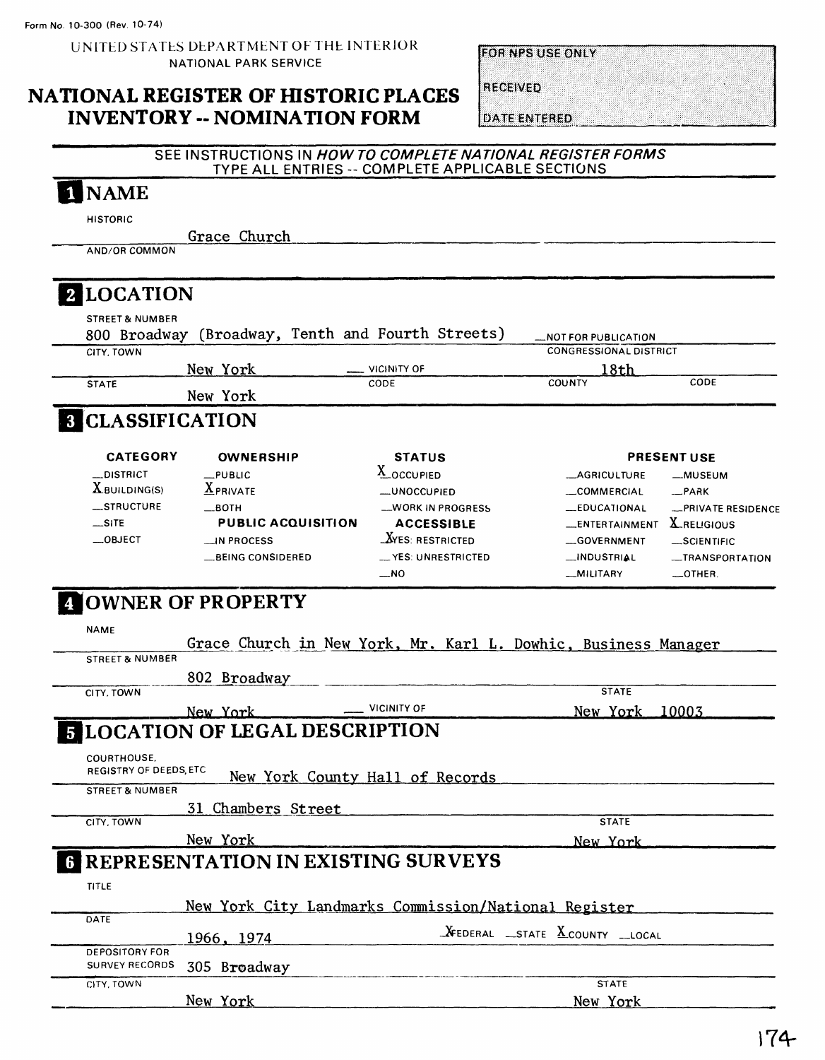UNITED STATES DEPARTMENT OF THE INTERIOR NATIONAL PARK SERVICE

### NATIONAL REGISTER OF HISTORIC PLACES INVENTORY -- NOMINATION FORM

**FOR NPS USE ONLY** 

RECEIVED

**DATE ENTERED** 

| <b>NAME</b>                           |                                                                |                                 |                                       |                     |
|---------------------------------------|----------------------------------------------------------------|---------------------------------|---------------------------------------|---------------------|
|                                       |                                                                |                                 |                                       |                     |
| <b>HISTORIC</b>                       |                                                                |                                 |                                       |                     |
| AND/OR COMMON                         | Grace Church                                                   |                                 |                                       |                     |
|                                       |                                                                |                                 |                                       |                     |
| 2 LOCATION                            |                                                                |                                 |                                       |                     |
| <b>STREET &amp; NUMBER</b>            |                                                                |                                 |                                       |                     |
|                                       | 800 Broadway (Broadway, Tenth and Fourth Streets)              |                                 | NOT FOR PUBLICATION                   |                     |
| CITY, TOWN                            |                                                                |                                 | <b>CONGRESSIONAL DISTRICT</b>         |                     |
|                                       | New York                                                       | VICINITY OF                     | 18th                                  |                     |
| <b>STATE</b>                          | New York                                                       | CODE                            | COUNTY                                | CODE                |
| <b>3 CLASSIFICATION</b>               |                                                                |                                 |                                       |                     |
| <b>CATEGORY</b>                       | <b>OWNERSHIP</b>                                               | <b>STATUS</b>                   |                                       | <b>PRESENT USE</b>  |
| _DISTRICT                             | $L$ PUBLIC                                                     | X_OCCUPIED                      | <b>__AGRICULTURE</b>                  | <b>__MUSEUM</b>     |
| $X$ BUILDING(S)                       | $\underline{X}$ private                                        | <b>__UNOCCUPIED</b>             | COMMERCIAL                            | $-$ PARK            |
| STRUCTURE                             | __вотн                                                         | <b>__WORK IN PROGRESS</b>       | <b>__EDUCATIONAL</b>                  | -PRIVATE RESIDENCE  |
| $\equiv$ SITE                         | <b>PUBLIC ACQUISITION</b>                                      | <b>ACCESSIBLE</b>               | ENTERTAINMENT                         | <b>X</b> _RELIGIOUS |
| $\_$ OBJECT                           | $\equiv$ IN PROCESS                                            | $\Delta$ YES: RESTRICTED        | GOVERNMENT                            | SCIENTIFIC          |
|                                       | __BEING CONSIDERED                                             | <b>__ YES: UNRESTRICTED</b>     | __INDUSTRIAL                          | -TRANSPORTATION     |
|                                       |                                                                | __NO                            | __MILITARY                            | __OTHER.            |
| <b>NAME</b>                           | Grace Church in New York, Mr. Karl L. Dowhic, Business Manager |                                 |                                       |                     |
| <b>STREET &amp; NUMBER</b>            |                                                                |                                 |                                       |                     |
|                                       |                                                                |                                 |                                       |                     |
|                                       | 802 Broadway                                                   |                                 |                                       |                     |
| CITY, TOWN                            |                                                                |                                 | <b>STATE</b>                          |                     |
|                                       | New York                                                       | <b>VICINITY OF</b>              | New York 10003                        |                     |
|                                       | <b>5 LOCATION OF LEGAL DESCRIPTION</b>                         |                                 |                                       |                     |
| COURTHOUSE.<br>REGISTRY OF DEEDS, ETC |                                                                | New York County Hall of Records |                                       |                     |
| <b>STREET &amp; NUMBER</b>            |                                                                |                                 |                                       |                     |
|                                       | 31 Chambers Street                                             |                                 |                                       |                     |
| CITY, TOWN                            |                                                                |                                 | <b>STATE</b>                          |                     |
|                                       | New York                                                       |                                 | New York                              |                     |
| TITLE                                 | <b>6 REPRESENTATION IN EXISTING SURVEYS</b>                    |                                 |                                       |                     |
|                                       | New York City Landmarks Commission/National Register           |                                 |                                       |                     |
| DATE                                  |                                                                |                                 | $X$ FEDERAL $S$ TATE $X$ COUNTY LOCAL |                     |
| <b>DEPOSITORY FOR</b>                 | 1966, 1974                                                     |                                 |                                       |                     |
| <b>SURVEY RECORDS</b>                 | 305 Broadway                                                   |                                 |                                       |                     |
| CITY, TOWN                            | New York                                                       |                                 | <b>STATE</b><br>New York              |                     |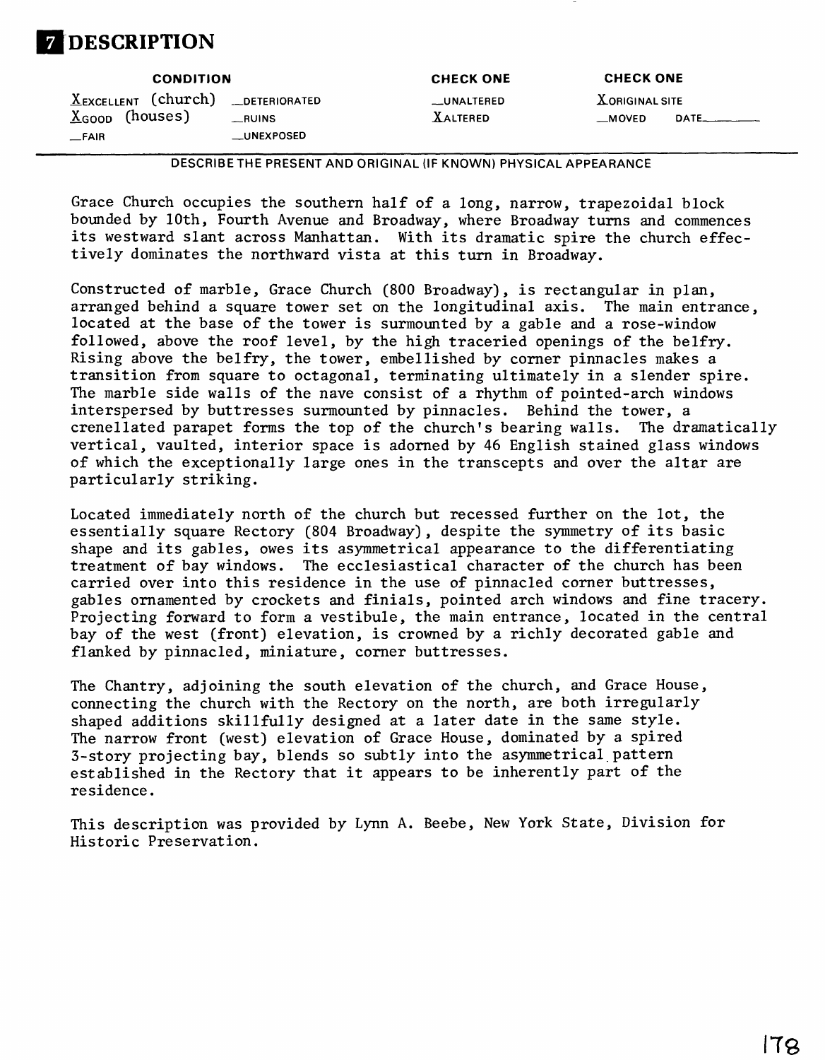# **DESCRIPTION**

| <b>CONDITION</b>                                                      |             | <b>CHECK ONE</b>               | <b>CHECK ONE</b>                  |                            |
|-----------------------------------------------------------------------|-------------|--------------------------------|-----------------------------------|----------------------------|
| $X$ excellent (church) $D$ deteriorated<br>$X_{\text{GOOD}}$ (houses) | $\_$ RUINS  | __UNALTERED<br><b>XALTERED</b> | <b>XORIGINAL SITE</b><br>$-MOVED$ | $DATE$ <sub>___</sub> ____ |
| $\_FAIR$                                                              | __UNEXPOSED |                                |                                   |                            |

*——————————***DESCRIBE-THE PRESENT AND ORIGINAL (IF KNOWN) PHYSICAL APPEARANCE**

Grace Church occupies the southern half of a long, narrow, trapezoidal block bounded by 10th, Fourth Avenue and Broadway, where Broadway turns and commences its westward slant across Manhattan. With its dramatic spire the church effectively dominates the northward vista at this turn in Broadway.

Constructed of marble, Grace Church (800 Broadway), is rectangular in plan, arranged behind a square tower set on the longitudinal axis. The main entrance, located at the base of the tower is surmounted by a gable and a rose-window followed, above the roof level, by the high traceried openings of the belfry. Rising above the belfry, the tower, embellished by corner pinnacles makes a transition from square to octagonal, terminating ultimately in a slender spire. The marble side walls of the nave consist of a rhythm of pointed-arch windows interspersed by buttresses surmounted by pinnacles. Behind the tower, a crenellated parapet forms the top of the church's bearing walls. The dramatically vertical, vaulted, interior space is adorned by 46 English stained glass windows of which the exceptionally large ones in the transcepts and over the altar are particularly striking.

Located immediately north of the church but recessed further on the lot, the essentially square Rectory (804 Broadway), despite the symmetry of its basic shape and its gables, owes its asymmetrical appearance to the differentiating treatment of bay windows. The ecclesiastical character of the church has been carried over into this residence in the use of pinnacled corner buttresses, gables ornamented by crockets and finials, pointed arch windows and fine tracery. Projecting forward to form a vestibule, the main entrance, located in the central bay of the west (front) elevation, is crowned by a richly decorated gable and flanked by pinnacled, miniature, corner buttresses.

The Chantry, adjoining the south elevation of the church, and Grace House, connecting the church with the Rectory on the north, are both irregularly shaped additions skillfully designed at a later date in the same style. The narrow front (west) elevation of Grace House, dominated by a spired 3-story projecting bay, blends so subtly into the asymmetrical pattern established in the Rectory that it appears to be inherently part of the residence.

This description was provided by Lynn A. Beebe, New York State, Division for Historic Preservation.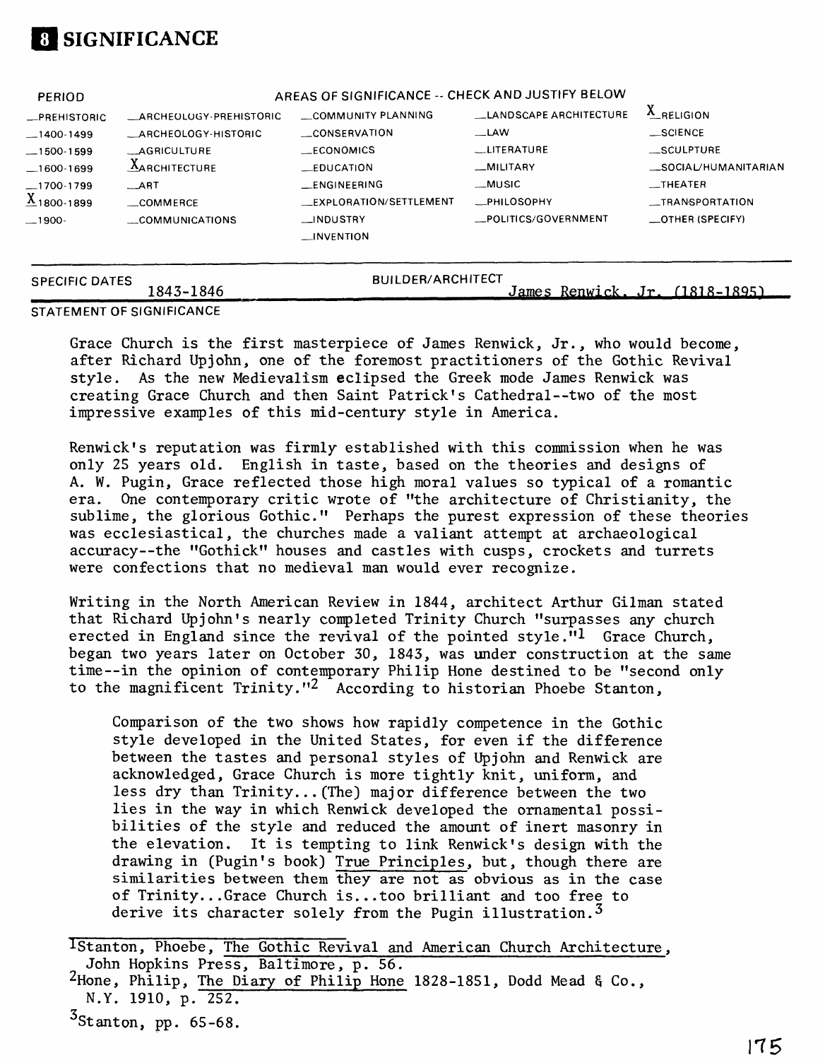

| <b>SPECIFIC DATES</b>       | 1813-1816              | <b>BUILDER/ARCHITECT</b>                         | Iames Renwick          | (1818-1805)<br>$\mathbf{I}$ |
|-----------------------------|------------------------|--------------------------------------------------|------------------------|-----------------------------|
|                             |                        | __INVENTION                                      |                        |                             |
| $-1900-$                    | COMMUNICATIONS         | __INDUSTRY                                       | _POLITICS/GOVERNMENT   | _OTHER (SPECIFY)            |
| $\underline{X}_{1800-1899}$ | COMMERCE               | __EXPLORATION/SETTLEMENT                         | _PHILOSOPHY            | <b>LIRANSPORTATION</b>      |
| _1700-1799                  | $\_$ ART               | <b>LENGINEERING</b>                              | _MUSIC                 | $-$ THEATER                 |
| $-1600-1699$                | <b>AARCHITECTURE</b>   | $EDUCA$ TION                                     | -MILITARY              | _SOCIAL/HUMANITARIAN        |
| .1500-1599                  | <b>AGRICULTURE</b>     | __ECONOMICS                                      | <b>LITERATURE</b>      | __SCULPTURE                 |
| _1400-1499                  | ARCHEOLOGY-HISTORIC    | CONSERVATION                                     | $\mathsf{LAW}$         | $\_$ SCIENCE                |
| _PREHISTORIC                | ARCHFOLOGY-PREHISTORIC | COMMUNITY PLANNING                               | LANDSCAPE ARCHITECTURE | $A$ RELIGION                |
| PERIOD                      |                        | AREAS OF SIGNIFICANCE -- CHECK AND JUSTIFY BELOW |                        |                             |

#### **STATEMENT OF SIGNIFICANCE**

Grace Church is the first masterpiece of James Renwick, Jr., who would become, after Richard Upjohn, one of the foremost practitioners of the Gothic Revival style. As the new Medievalism eclipsed the Greek mode James Renwick was creating Grace Church and then Saint Patrick's Cathedral--two of the most impressive examples of this mid-century style in America.

Renwick's reputation was firmly established with this commission when he was only 25 years old. English in taste, based on the theories and designs of A. W. Pugin, Grace reflected those high moral values so typical of a romantic era. One contemporary critic wrote of "the architecture of Christianity, the sublime, the glorious Gothic." Perhaps the purest expression of these theories was ecclesiastical, the churches made a valiant attempt at archaeological accuracy--the "Gothick" houses and castles with cusps, crockets and turrets were confections that no medieval man would ever recognize.

Writing in the North American Review in 1844, architect Arthur Gilman stated that Richard Upjohn's nearly completed Trinity Church "surpasses any church erected in England since the revival of the pointed style."<sup>1</sup> Grace Church, began two years later on October 30, 1843, was under construction at the same time--in the opinion of contemporary Philip Hone destined to be "second only to the magnificent Trinity."<sup>2</sup> According to historian Phoebe Stanton,

Comparison of the two shows how rapidly competence in the Gothic style developed in the United States, for even if the difference between the tastes and personal styles of Upjohn and Renwick are acknowledged, Grace Church is more tightly knit, uniform, and less dry than Trinity... (The) major difference between the two lies in the way in which Renwick developed the ornamental possibilities of the style and reduced the amount of inert masonry in the elevation. It is tempting to link Renwick's design with the drawing in (Pugin's book) True Principles, but, though there are similarities between them they are not as obvious as in the case of Trinity...Grace Church is...too brilliant and too free to derive its character solely from the Pugin illustration.<sup>3</sup>

IStanton, Phoebe, The Gothic Revival and American Church Architecture, John Hopkins Press, Baltimore, p. 56.

<sup>2</sup>Hone, Philip, The Diary of Philip Hone 1828-1851, Dodd Mead  $6 \text{ Co.}$ , N.Y. 1910, p. 252.

 $3$ Stanton, pp. 65-68.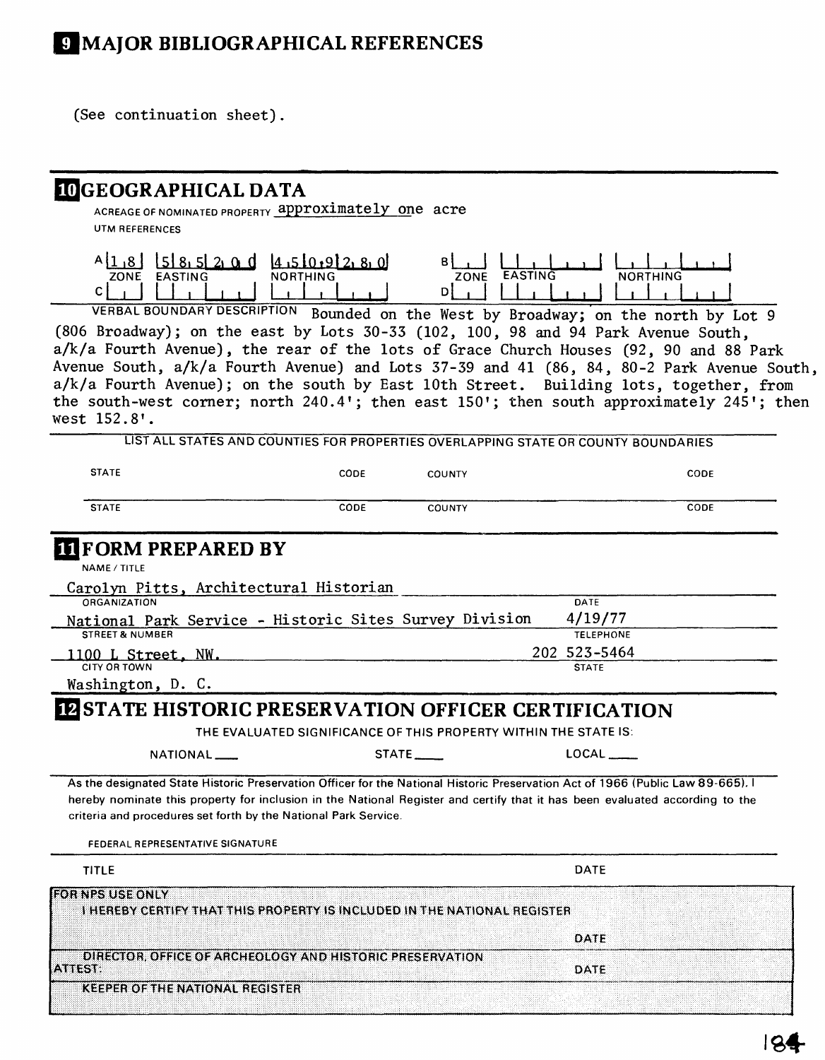### **I MAJOR BIBLIOGRAPHICAL REFERENCES**

(See continuation sheet).

### **3GEOGRAPHICAL DATA**

ACREAGE OF NOMINATED PROPERTY **approximately one acre** UTM REFERENCES

| . .<br><b></b><br>. .  | $\Omega$<br>ი . ი<br>۱4<br>. X. |                        |                |
|------------------------|---------------------------------|------------------------|----------------|
| <b>EASTING</b><br>ZONE | <b>NORTHING</b>                 | <b>EASTING</b><br>ZONE | :THING<br>NOR. |
| $\sim$                 |                                 |                        |                |

VERBAL BOUNDARY DESCRIPTION Bounded on the West by Broadway; on the north by Lot 9 (806 Broadway); on the east by Lots 30-33 (102, 100, 98 and 94 Park Avenue South, a/k/a Fourth Avenue), the rear of the lots of Grace Church Houses (92, 90 and 88 Park Avenue South, a/k/a Fourth Avenue) and Lots 37-39 and 41 (86, 84, 80-2 Park Avenue South, a/k/a Fourth Avenue); on the south by East 10th Street. Building lots, together, from the south-west corner; north 240.4'; then east 150'; then south approximately 245'; then west 152.8'.

|                                                                                                                                                                                                                                                                                                                                                                               | LIST ALL STATES AND COUNTIES FOR PROPERTIES OVERLAPPING STATE OR COUNTY BOUNDARIES |               |                         |             |
|-------------------------------------------------------------------------------------------------------------------------------------------------------------------------------------------------------------------------------------------------------------------------------------------------------------------------------------------------------------------------------|------------------------------------------------------------------------------------|---------------|-------------------------|-------------|
| <b>STATE</b>                                                                                                                                                                                                                                                                                                                                                                  | CODE                                                                               | <b>COUNTY</b> |                         | <b>CODE</b> |
| <b>STATE</b>                                                                                                                                                                                                                                                                                                                                                                  | CODE                                                                               | <b>COUNTY</b> |                         | <b>CODE</b> |
| <b>FORM PREPARED BY</b><br><b>NAME / TITLE</b>                                                                                                                                                                                                                                                                                                                                |                                                                                    |               |                         |             |
| Carolyn Pitts, Architectural Historian                                                                                                                                                                                                                                                                                                                                        |                                                                                    |               |                         |             |
| <b>ORGANIZATION</b>                                                                                                                                                                                                                                                                                                                                                           |                                                                                    |               | DATE                    |             |
| National Park Service - Historic Sites Survey Division                                                                                                                                                                                                                                                                                                                        |                                                                                    |               | 4/19/77                 |             |
| <b>STREET &amp; NUMBER</b>                                                                                                                                                                                                                                                                                                                                                    |                                                                                    |               | <b>TELEPHONE</b>        |             |
| 1100 L Street. NW.                                                                                                                                                                                                                                                                                                                                                            |                                                                                    |               | 202 523-5464            |             |
| CITY OR TOWN                                                                                                                                                                                                                                                                                                                                                                  |                                                                                    |               | <b>STATE</b>            |             |
| Washington, D. C.                                                                                                                                                                                                                                                                                                                                                             |                                                                                    |               |                         |             |
| STATE HISTORIC PRESERVATION OFFICER CERTIFICATION                                                                                                                                                                                                                                                                                                                             |                                                                                    |               |                         |             |
|                                                                                                                                                                                                                                                                                                                                                                               | THE EVALUATED SIGNIFICANCE OF THIS PROPERTY WITHIN THE STATE IS:                   |               |                         |             |
| NATIONAL <sub>___</sub>                                                                                                                                                                                                                                                                                                                                                       |                                                                                    | STATE____     | $LOCAL$ <sub>____</sub> |             |
| As the designated State Historic Preservation Officer for the National Historic Preservation Act of 1966 (Public Law 89-665). I<br>hereby nominate this property for inclusion in the National Register and certify that it has been evaluated according to the<br>criteria and procedures set forth by the National Park Service.<br><b>FEDERAL REPRESENTATIVE SIGNATURE</b> |                                                                                    |               |                         |             |
|                                                                                                                                                                                                                                                                                                                                                                               |                                                                                    |               |                         |             |
| <b>TITLE</b>                                                                                                                                                                                                                                                                                                                                                                  |                                                                                    |               | <b>DATE</b>             |             |
| <b>FOR NPS USE ONLY</b><br><b>I HEREBY CERTIFY THAT THIS PROPERTY IS INCLUDED IN THE NATIONAL REGISTER</b>                                                                                                                                                                                                                                                                    |                                                                                    |               |                         |             |
|                                                                                                                                                                                                                                                                                                                                                                               |                                                                                    |               | DATE                    |             |
| DIRECTOR, OFFICE OF ARCHEOLOGY AND HISTORIC PRESERVATION<br>ATTEST.                                                                                                                                                                                                                                                                                                           |                                                                                    |               | DATE                    |             |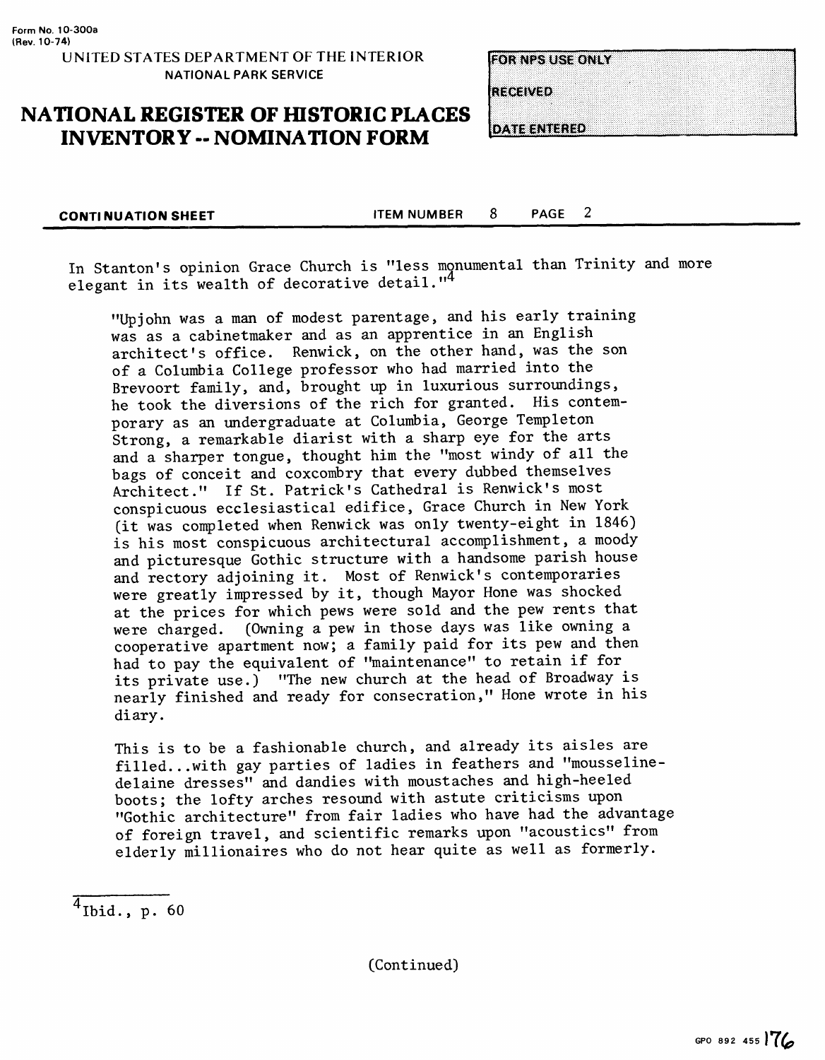#### **UNITED STATES DEPARTMENT OF THE INTERIOR NATIONAL PARK SERVICE**

**FOR NPS USE ONLY** 

**RECEIVED** 

**DATE ENTERED** 

## **NATIONAL REGISTER OF HISTORIC PLACES INVENTORY -- NOMINATION FORM**

**CONTINUATION SHEET** TEM NUMBER 8 PAGE 2

In Stanton's opinion Grace Church is "less monumental than Trinity and more elegant in its wealth of decorative detail." $4$ 

"Upjohn was a man of modest parentage, and his early training was as a cabinetmaker and as an apprentice in an English architect's office. Renwick, on the other hand, was the son of a Columbia College professor who had married into the Brevoort family, and, brought up in luxurious surroundings, he took the diversions of the rich for granted. His contemporary as an undergraduate at Columbia, George Templeton Strong, a remarkable diarist with a sharp eye for the arts and a sharper tongue, thought him the "most windy of all the bags of conceit and coxcombry that every dubbed themselves Architect." If St. Patrick's Cathedral is Renwick's most conspicuous ecclesiastical edifice, Grace Church in New York (it was completed when Renwick was only twenty-eight in 1846) is his most conspicuous architectural accomplishment, a moody and picturesque Gothic structure with a handsome parish house and rectory adjoining it. Most of Renwick's contemporaries were greatly impressed by it, though Mayor Hone was shocked at the prices for which pews were sold and the pew rents that were charged. (Owning a pew in those days was like owning a cooperative apartment now; a family paid for its pew and then had to pay the equivalent of "maintenance" to retain if for its private use.) "The new church at the head of Broadway is nearly finished and ready for consecration," Hone wrote in his diary.

This is to be a fashionable church, and already its aisles are filled...with gay parties of ladies in feathers and "mousselinedelaine dresses" and dandies with moustaches and high-heeled boots; the lofty arches resound with astute criticisms upon "Gothic architecture" from fair ladies who have had the advantage of foreign travel, and scientific remarks upon "acoustics" from elderly millionaires who do not hear quite as well as formerly.

 $\overline{\mathbf{q}_{\text{Ibid., p. 60}}}$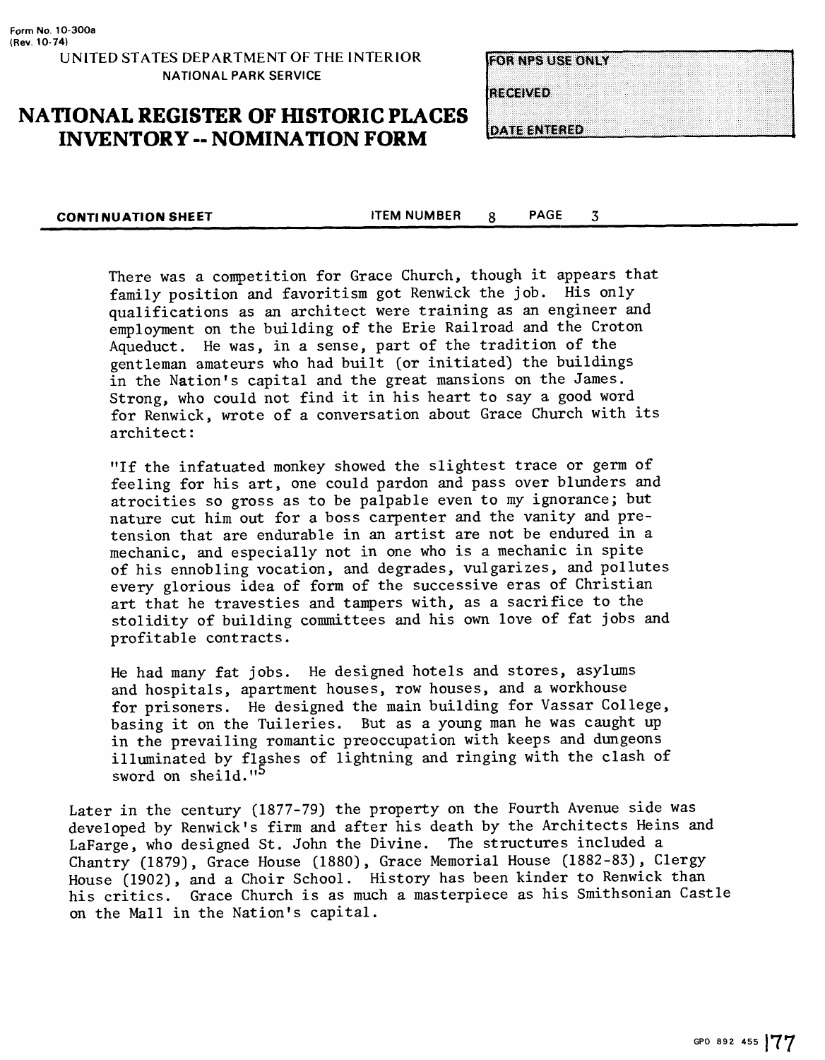#### **UNITED STATES DEPARTMENT OF THE INTERIOR NATIONAL PARK SERVICE**

**NATIONAL REGISTER OF HISTORIC PLACES** 

|  |  |  | OR NPS USE ONLY |
|--|--|--|-----------------|
|  |  |  |                 |
|  |  |  |                 |
|  |  |  |                 |
|  |  |  |                 |

RECEIVED

**DATE ENTERED** 

**INVENTORY -- NOMINATION FORM**

**CONTINUATION SHEET** ITEM NUMBER g PAGE  $\overline{3}$ 

There was a competition for Grace Church, though it appears that family position and favoritism got Renwick the job. His only qualifications as an architect were training as an engineer and employment on the building of the Erie Railroad and the Croton Aqueduct. He was, in a sense, part of the tradition of the gentleman amateurs who had built (or initiated) the buildings in the Nation's capital and the great mansions on the James. Strong, who could not find it in his heart to say a good word for Renwick, wrote of a conversation about Grace Church with its architect:

"If the infatuated monkey showed the slightest trace or germ of feeling for his art, one could pardon and pass over blunders and atrocities so gross as to be palpable even to my ignorance; but nature cut him out for a boss carpenter and the vanity and pretension that are endurable in an artist are not be endured in a mechanic, and especially not in one who is a mechanic in spite of his ennobling vocation, and degrades, vulgarizes, and pollutes every glorious idea of form of the successive eras of Christian art that he travesties and tampers with, as a sacrifice to the stolidity of building committees and his own love of fat jobs and profitable contracts.

He had many fat jobs. He designed hotels and stores, asylums and hospitals, apartment houses, row houses, and a workhouse for prisoners. He designed the main building for Vassar College, basing it on the Tuileries. But as a young man he was caught up in the prevailing romantic preoccupation with keeps and dungeons illuminated by flashes of lightning and ringing with the clash of sword on sheild."<sup>5</sup>

Later in the century (1877-79) the property on the Fourth Avenue side was developed by Renwick's firm and after his death by the Architects Heins and LaFarge, who designed St. John the Divine. The structures included a Chantry (1879), Grace House (1880), Grace Memorial House (1882-83), Clergy House (1902), and a Choir School. History has been kinder to Renwick than his critics. Grace Church is as much a masterpiece as his Smithsonian Castle on the Mall in the Nation's capital.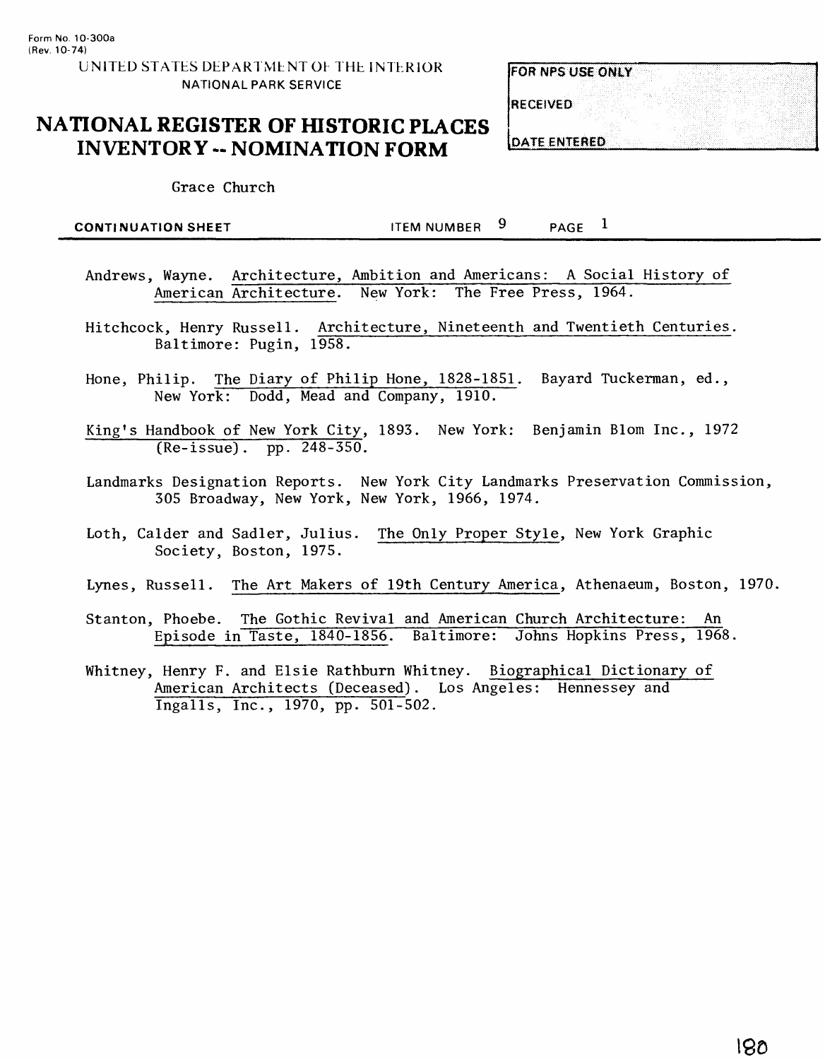**FOR NPS USE ONLY** 

**RECEIVED** 

**DATE ENTERED** 

### **NATIONAL REGISTER OF HISTORIC PLACES INVENTORY -- NOMINATION FORM**

Grace Church

**CONTINUATION SHEET**  $\overline{P}$  **ITEM NUMBER**  $\overline{P}$  **PAGE**  $\overline{P}$ 

Andrews, Wayne. Architecture, Ambition and Americans: A Social History of American Architecture. New York: The Free Press, 1964.

Hitchcock, Henry Russell. Architecture, Nineteenth and Twentieth Centuries. Baltimore: Pugin, 1958.

Hone, Philip. The Diary of Philip Hone, 1828-1851. Bayard Tuckerman, ed., New York: Dodd, Mead and Company, 1910.

King's Handbook of New York City, 1893. New York: Benjamin Blom Inc., 1972 (Re-issue), pp. 248-350.

Landmarks Designation Reports. New York City Landmarks Preservation Commission, 305 Broadway, New York, New York, 1966, 1974.

Loth, Calder and Sadler, Julius. The Only Proper Style, New York Graphic Society, Boston, 1975.

Lynes, Russell. The Art Makers of 19th Century America, Athenaeum, Boston, 1970.

Stanton, Phoebe. The Gothic Revival and American Church Architecture: An Episode in Taste, 1840-1856. Baltimore: Johns Hopkins Press, 1968.

Whitney, Henry F. and Elsie Rathburn Whitney. Biographical Dictionary of American Architects (Deceased). Los Angeles: Hennessey and Ingalls, Inc., 1970, pp. 501-502.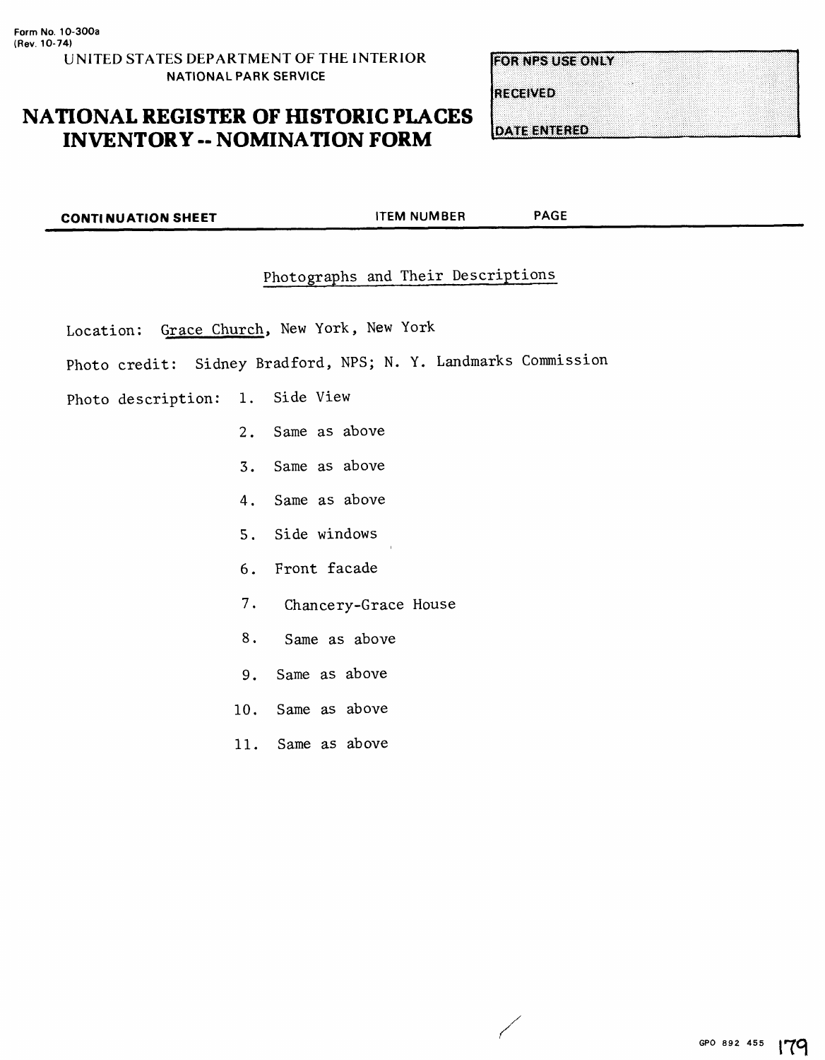#### **UNITED STATES DEPARTMENT OF THE INTERIOR NATIONAL PARK SERVICE**

### **FOR NPS USE ONLY**

**RECEIVED** 

## **NATIONAL REGISTER OF HISTORIC PLACES INVENTORY -- NOMINATION FORM**

**DATE ENTERED** 

| <b>CONTINUATION SHEET</b> | <b>ITEM NUMBER</b> | PAGE |
|---------------------------|--------------------|------|
|                           |                    |      |

### Photographs and Their Descriptions

Location: Grace Church, New York, New York

Photo credit: Sidney Bradford, NFS; N. Y. Landmarks Commission

Photo description: 1. Side View

- 2. Same as above
- 3. Same as above
- 4. Same as above
- 5. Side windows
- 6. Front facade
- 7. Chancery-Grace House
- 8. Same as above
- 9. Same as above
- 10. Same as above
- 11. Same as above